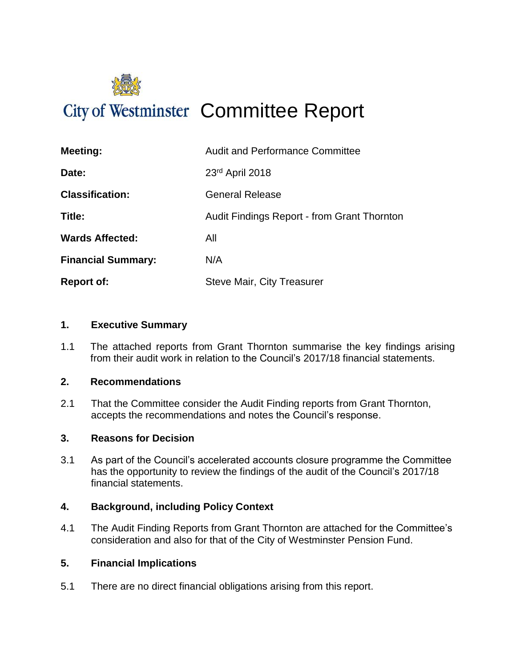

# City of Westminster Committee Report

| <b>Meeting:</b>           | <b>Audit and Performance Committee</b>             |
|---------------------------|----------------------------------------------------|
| Date:                     | 23rd April 2018                                    |
| <b>Classification:</b>    | <b>General Release</b>                             |
| Title:                    | <b>Audit Findings Report - from Grant Thornton</b> |
| <b>Wards Affected:</b>    | All                                                |
| <b>Financial Summary:</b> | N/A                                                |
| <b>Report of:</b>         | <b>Steve Mair, City Treasurer</b>                  |

#### **1. Executive Summary**

1.1 The attached reports from Grant Thornton summarise the key findings arising from their audit work in relation to the Council's 2017/18 financial statements.

#### **2. Recommendations**

2.1 That the Committee consider the Audit Finding reports from Grant Thornton, accepts the recommendations and notes the Council's response.

#### **3. Reasons for Decision**

3.1 As part of the Council's accelerated accounts closure programme the Committee has the opportunity to review the findings of the audit of the Council's 2017/18 financial statements.

#### **4. Background, including Policy Context**

4.1 The Audit Finding Reports from Grant Thornton are attached for the Committee's consideration and also for that of the City of Westminster Pension Fund.

#### **5. Financial Implications**

5.1 There are no direct financial obligations arising from this report.